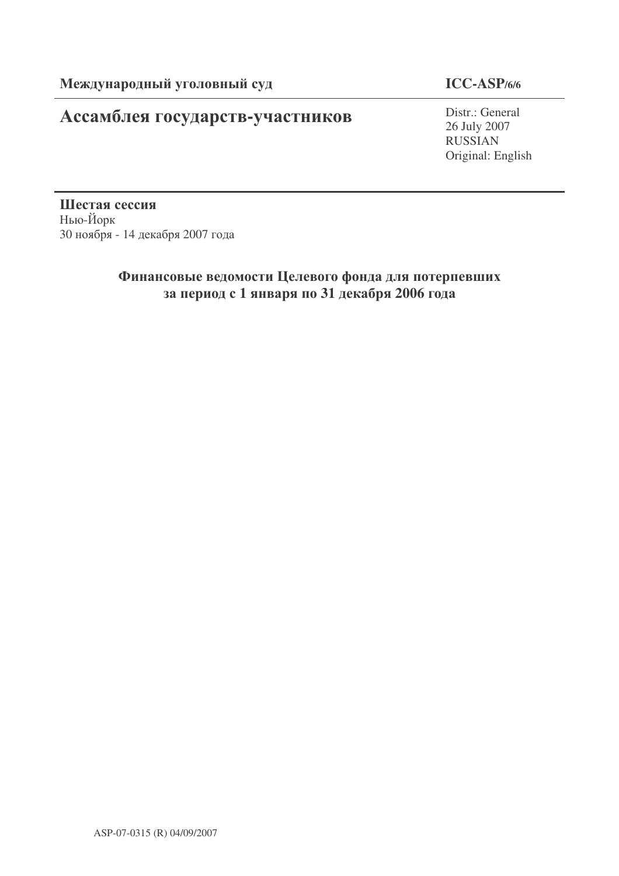# Ассамблея государств-участников

# **ICC-ASP/6/6**

Distr.: General 26 July 2007 RUSSIAN Original: English

Шестая сессия Нью-Йорк 30 ноября - 14 декабря 2007 года

# Финансовые ведомости Целевого фонда для потерпевших за период с 1 января по 31 декабря 2006 года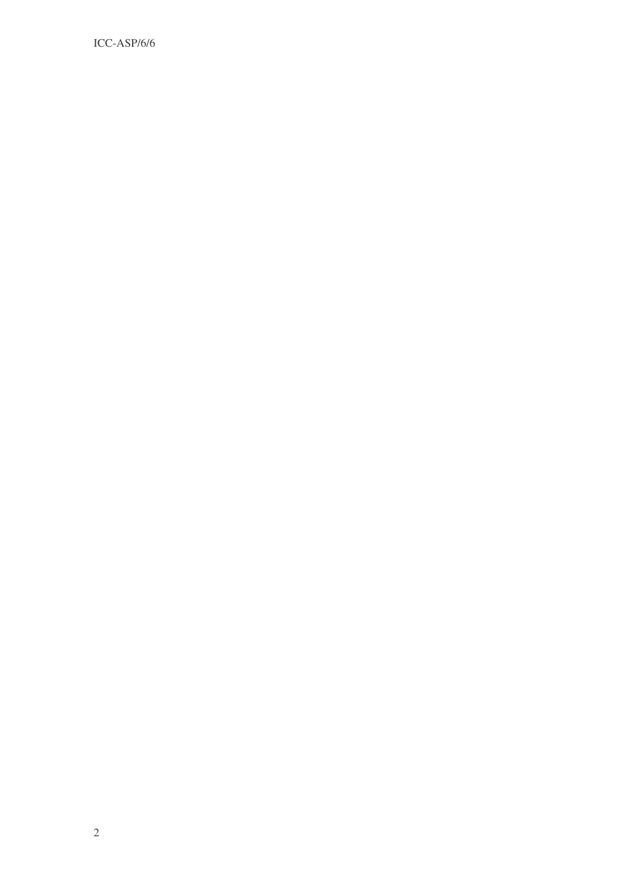ICC-ASP/6/6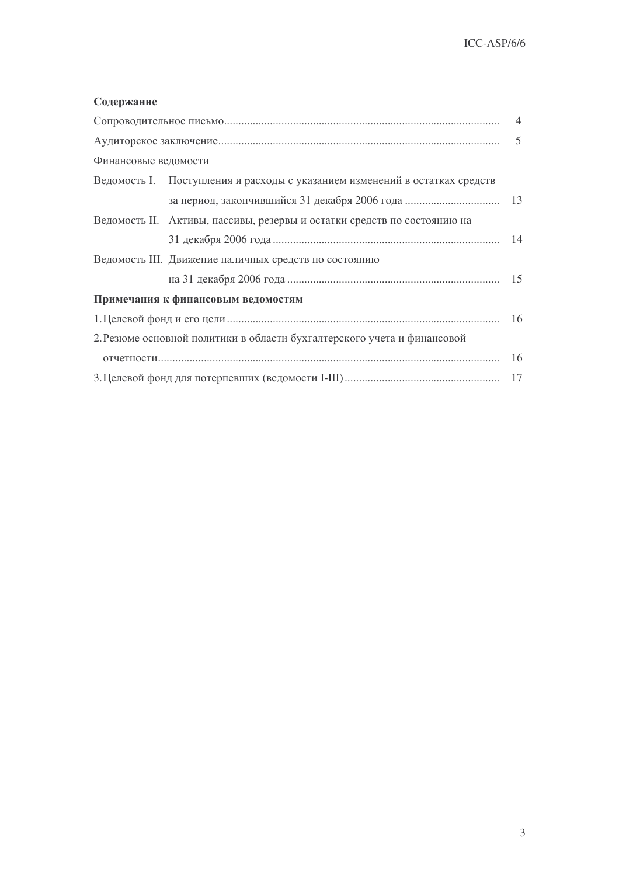| Финансовые ведомости                                                        |  |
|-----------------------------------------------------------------------------|--|
| Ведомость I. Поступления и расходы с указанием изменений в остатках средств |  |
|                                                                             |  |
| Ведомость II. Активы, пассивы, резервы и остатки средств по состоянию на    |  |
|                                                                             |  |
| Ведомость III. Движение наличных средств по состоянию                       |  |
|                                                                             |  |
| Примечания к финансовым ведомостям                                          |  |
|                                                                             |  |
| 2. Резюме основной политики в области бухгалтерского учета и финансовой     |  |
|                                                                             |  |
|                                                                             |  |
|                                                                             |  |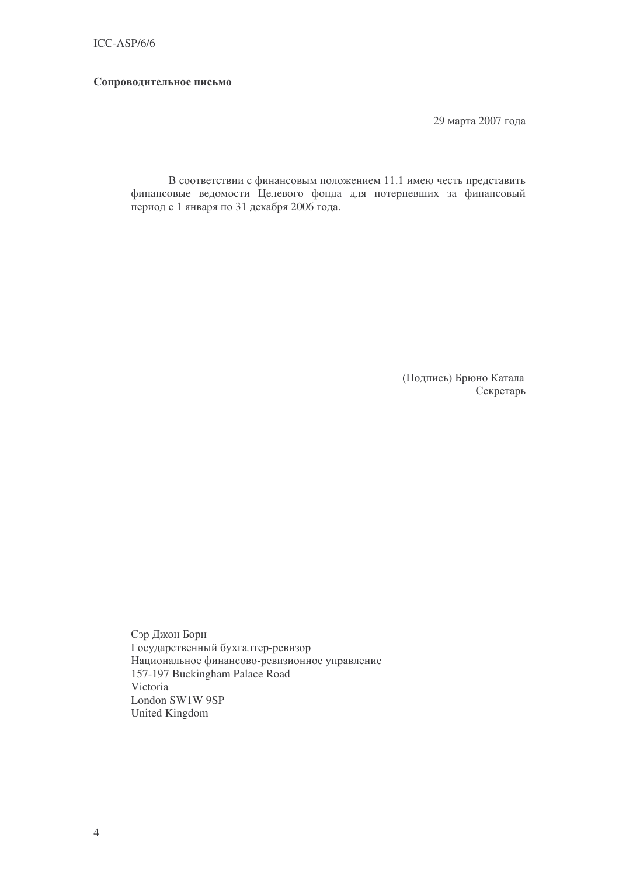Сопроводительное письмо

29 марта 2007 года

В соответствии с финансовым положением 11.1 имею честь представить финансовые ведомости Целевого фонда для потерпевших за финансовый период с 1 января по 31 декабря 2006 года.

> (Подпись) Брюно Катала Секретарь

Сэр Джон Борн Государственный бухгалтер-ревизор Национальное финансово-ревизионное управление 157-197 Buckingham Palace Road Victoria London SW1W 9SP **United Kingdom**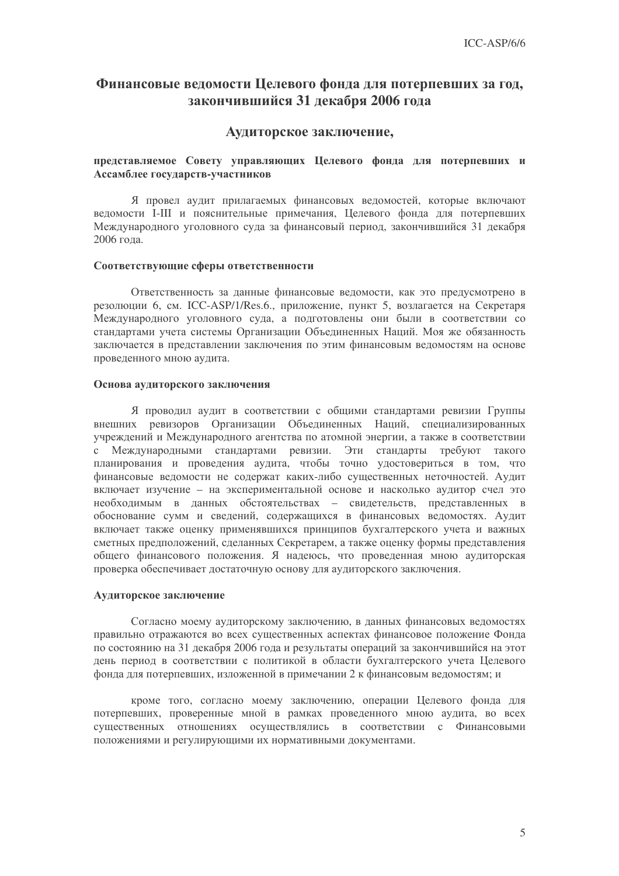# Финансовые ведомости Целевого фонда для потерпевших за год, закончившийся 31 декабря 2006 года

#### Аудиторское заключение,

#### представляемое Совету управляющих Целевого фонда для потерпевших и Ассамблее государств-участников

Я провел аудит прилагаемых финансовых ведомостей, которые включают ведомости I-III и пояснительные примечания. Целевого фонда для потерпевших Международного уголовного суда за финансовый период, закончившийся 31 декабря 2006 года.

#### Соответствующие сферы ответственности

Ответственность за ланные финансовые веломости, как это прелусмотрено в резолюции 6, см. ICC-ASP/1/Res.6., приложение, пункт 5, возлагается на Секретаря Международного уголовного суда, а подготовлены они были в соответствии со стандартами учета системы Организации Объединенных Наций. Моя же обязанность заключается в представлении заключения по этим финансовым ведомостям на основе проведенного мною аудита.

#### Основа аудиторского заключения

Я проводил аудит в соответствии с общими стандартами ревизии Группы внешних ревизоров Организации Объединенных Наций, специализированных учреждений и Международного агентства по атомной энергии, а также в соответствии с Международными стандартами ревизии. Эти стандарты требуют такого планирования и проведения аудита, чтобы точно удостовериться в том, что финансовые ведомости не содержат каких-либо существенных неточностей. Аудит включает изучение - на экспериментальной основе и насколько аудитор счел это необходимым в данных обстоятельствах - свидетельств, представленных в обоснование сумм и сведений, содержащихся в финансовых ведомостях. Аудит включает также оценку применявшихся принципов бухгалтерского учета и важных сметных предположений, сделанных Секретарем, а также оценку формы представления общего финансового положения. Я надеюсь, что проведенная мною аудиторская проверка обеспечивает достаточную основу для аудиторского заключения.

#### Аудиторское заключение

Согласно моему аудиторскому заключению, в данных финансовых ведомостях правильно отражаются во всех существенных аспектах финансовое положение Фонда по состоянию на 31 декабря 2006 года и результаты операций за закончившийся на этот день период в соответствии с политикой в области бухгалтерского учета Целевого фонда для потерпевших, изложенной в примечании 2 к финансовым ведомостям; и

кроме того, согласно моему заключению, операции Целевого фонда для потерпевших, проверенные мной в рамках проведенного мною аудита, во всех существенных отношениях осуществлялись в соответствии с Финансовыми положениями и регулирующими их нормативными документами.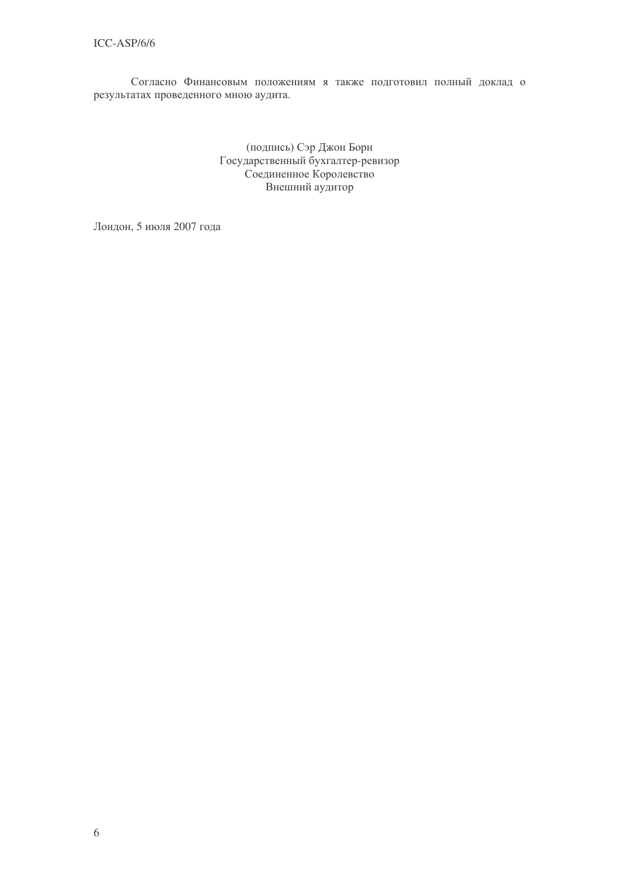Согласно Финансовым положениям я также подготовил полный доклад о результатах проведенного мною аудита.

> (подпись) Сэр Джон Борн Государственный бухгалтер-ревизор Соединенное Королевство Внешний аудитор

Лондон, 5 июля 2007 года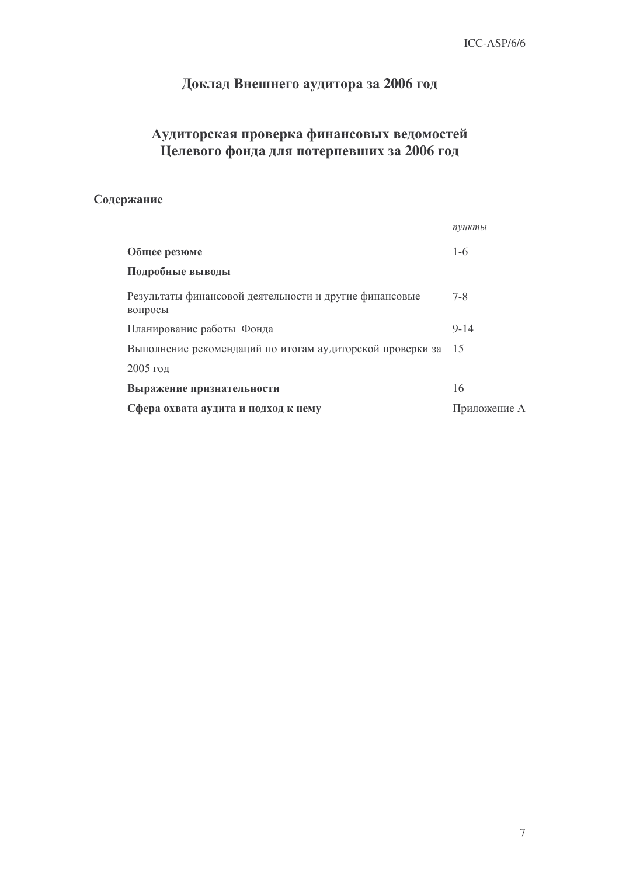# Доклад Внешнего аудитора за 2006 год

# Аудиторская проверка финансовых ведомостей Целевого фонда для потерпевших за 2006 год

# Содержание

| $1-6$<br>Общее резюме<br>Подробные выводы<br>Результаты финансовой деятельности и другие финансовые<br>$7 - 8$<br>вопросы<br>$9 - 14$<br>Планирование работы Фонда<br>Выполнение рекомендаций по итогам аудиторской проверки за<br>-15<br>$2005$ год<br>16<br>Выражение признательности<br>Сфера охвата аудита и подход к нему | пункты       |
|--------------------------------------------------------------------------------------------------------------------------------------------------------------------------------------------------------------------------------------------------------------------------------------------------------------------------------|--------------|
|                                                                                                                                                                                                                                                                                                                                |              |
|                                                                                                                                                                                                                                                                                                                                |              |
|                                                                                                                                                                                                                                                                                                                                |              |
|                                                                                                                                                                                                                                                                                                                                |              |
|                                                                                                                                                                                                                                                                                                                                |              |
|                                                                                                                                                                                                                                                                                                                                |              |
|                                                                                                                                                                                                                                                                                                                                |              |
|                                                                                                                                                                                                                                                                                                                                | Приложение А |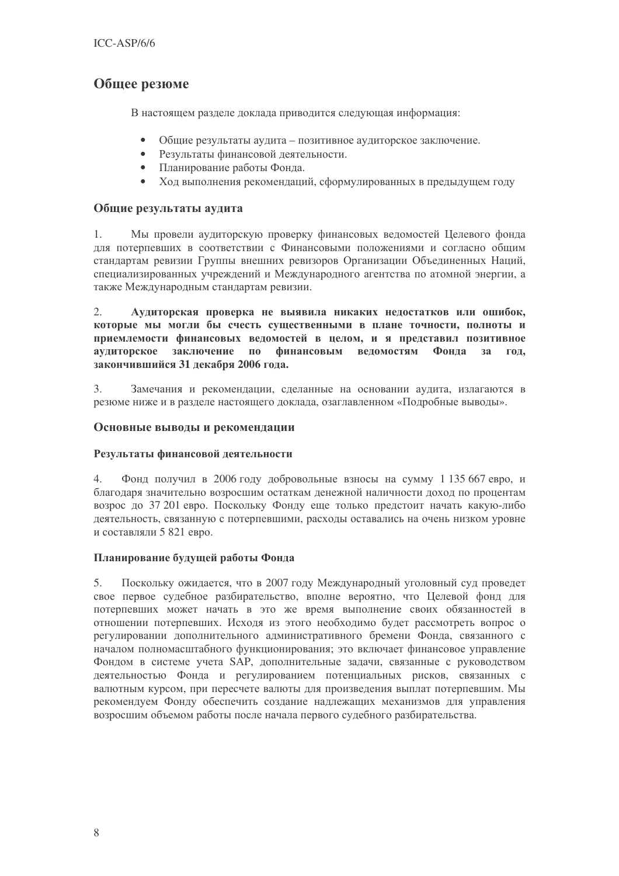# Общее резюме

В настоящем разлеле доклада приводится следующая информация:

- Общие результаты аудита позитивное аудиторское заключение.
- Результаты финансовой деятельности.
- Планирование работы Фонда.
- Ход выполнения рекомендаций, сформулированных в предыдущем году

#### Общие результаты аудита

 $1<sub>1</sub>$ Мы провели аудиторскую проверку финансовых ведомостей Целевого фонда для потерпевших в соответствии с Финансовыми положениями и согласно общим стандартам ревизии Группы внешних ревизоров Организации Объединенных Наций, специализированных учреждений и Международного агентства по атомной энергии, а также Международным стандартам ревизии.

 $\overline{2}$ . Аудиторская проверка не выявила никаких недостатков или ошибок, которые мы могли бы счесть существенными в плане точности, полноты и приемлемости финансовых ведомостей в целом, и я представил позитивное аулиторское заключение по финансовым ведомостям Фонла  $3a$ **ГОЛ.** закончившийся 31 декабря 2006 года.

Замечания и рекоменлации, слеланные на основании аудита, излагаются в  $\mathcal{E}$ резюме ниже и в разделе настоящего доклада, озаглавленном «Подробные выводы».

#### Основные выводы и рекомендации

#### Результаты финансовой деятельности

 $\overline{4}$ . Фонд получил в 2006 году добровольные взносы на сумму 1 135 667 евро, и благодаря значительно возросшим остаткам денежной наличности доход по процентам возрос до 37 201 евро. Поскольку Фонду еще только предстоит начать какую-либо деятельность, связанную с потерпевшими, расходы оставались на очень низком уровне и составляли 5 821 евро.

#### Планирование будущей работы Фонда

5. Поскольку ожидается, что в 2007 году Международный уголовный суд проведет свое первое судебное разбирательство, вполне вероятно, что Целевой фонд для потерпевших может начать в это же время выполнение своих обязанностей в отношении потерпевших. Исходя из этого необходимо будет рассмотреть вопрос о регулировании дополнительного административного бремени Фонда, связанного с началом полномасштабного функционирования; это включает финансовое управление Фондом в системе учета SAP, дополнительные задачи, связанные с руководством деятельностью Фонда и регулированием потенциальных рисков, связанных с валютным курсом, при пересчете валюты для произведения выплат потерпевшим. Мы рекомендуем Фонду обеспечить создание надлежащих механизмов для управления возросшим объемом работы после начала первого судебного разбирательства.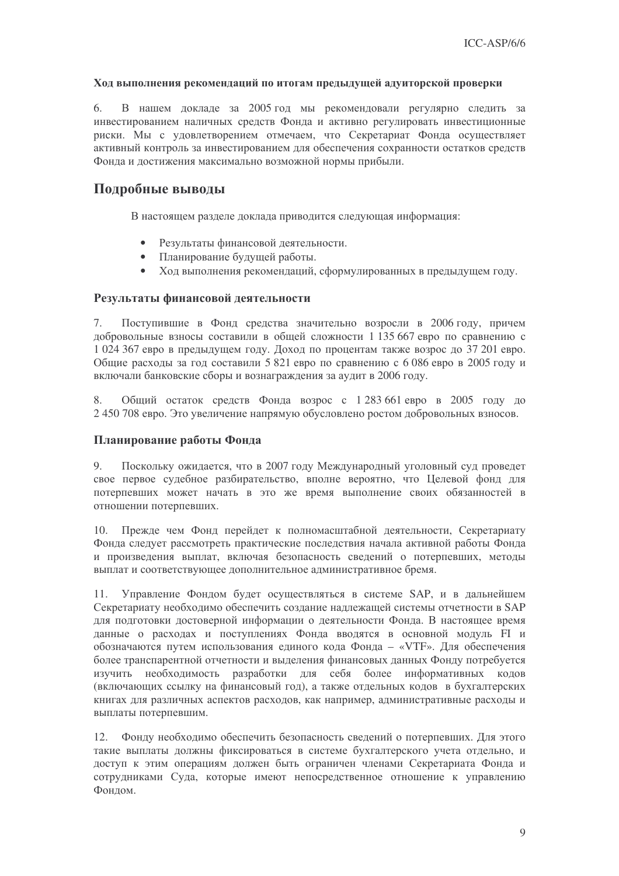#### Ход выполнения рекомендаций по итогам предыдущей адуиторской проверки

В нашем докладе за 2005 год мы рекомендовали регулярно следить за 6. инвестированием наличных средств Фонда и активно регулировать инвестиционные риски. Мы с удовлетворением отмечаем, что Секретариат Фонда осуществляет активный контроль за инвестированием для обеспечения сохранности остатков средств Фонла и лостижения максимально возможной нормы прибыли.

### Подробные выводы

В настоящем разделе доклада приводится следующая информация:

- Результаты финансовой деятельности.
- Планирование будущей работы.
- Ход выполнения рекомендаций, сформулированных в предыдущем году.

#### Результаты финансовой деятельности

 $7\overline{ }$ Поступившие в Фонд средства значительно возросли в 2006 году, причем добровольные взносы составили в общей сложности 1 135 667 евро по сравнению с 1 024 367 евро в предыдущем году. Доход по процентам также возрос до 37 201 евро. Общие расходы за год составили 5 821 евро по сравнению с 6 086 евро в 2005 году и включали банковские сборы и вознаграждения за аудит в 2006 году.

Общий остаток средств Фонда возрос с 1 283 661 евро в 2005 году до  $\mathcal{R}$ 2 450 708 евро. Это увеличение напрямую обусловлено ростом добровольных взносов.

#### Планирование работы Фонда

 $9<sub>1</sub>$ Поскольку ожидается, что в 2007 году Международный уголовный суд проведет свое первое судебное разбирательство, вполне вероятно, что Целевой фонд для потерпевших может начать в это же время выполнение своих обязанностей в отношении потерпевших.

10. Прежде чем Фонд перейдет к полномасштабной деятельности. Секретариату Фонда следует рассмотреть практические последствия начала активной работы Фонда и произведения выплат, включая безопасность сведений о потерпевших, методы выплат и соответствующее дополнительное административное бремя.

Управление Фондом будет осуществляться в системе SAP, и в дальнейшем 11. Секретариату необходимо обеспечить создание надлежащей системы отчетности в SAP для подготовки достоверной информации о деятельности Фонда. В настоящее время данные о расходах и поступлениях Фонда вводятся в основной модуль FI и обозначаются путем использования единого кода Фонда - «VTF». Для обеспечения более транспарентной отчетности и выделения финансовых данных Фонду потребуется изучить необходимость разработки для себя более информативных кодов (включающих ссылку на финансовый год), а также отдельных кодов в бухгалтерских книгах для различных аспектов расходов, как например, административные расходы и выплаты потерпевшим.

12. Фонду необходимо обеспечить безопасность сведений о потерпевших. Для этого такие выплаты должны фиксироваться в системе бухгалтерского учета отдельно, и доступ к этим операциям должен быть ограничен членами Секретариата Фонда и сотрудниками Суда, которые имеют непосредственное отношение к управлению Фондом.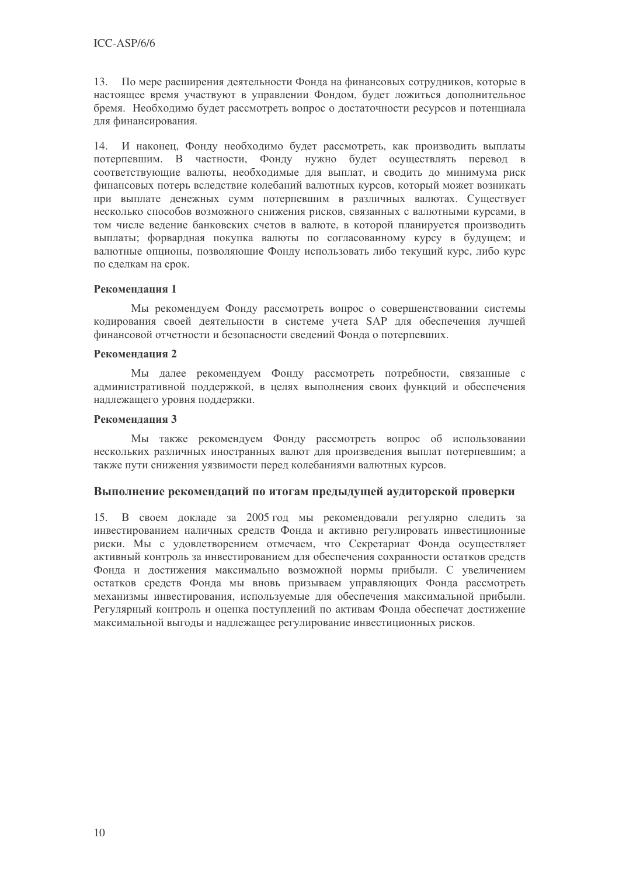По мере расширения деятельности Фонда на финансовых сотрудников, которые в 13. настоящее время участвуют в управлении Фондом, будет ложиться дополнительное бремя. Необходимо будет рассмотреть вопрос о достаточности ресурсов и потенциала для финансирования.

И наконец, Фонду необходимо будет рассмотреть, как производить выплаты 14. потерпевшим. В частности, Фонду нужно будет осуществлять перевод в соответствующие валюты, необходимые для выплат, и сводить до минимума риск финансовых потерь вследствие колебаний валютных курсов, который может возникать при выплате денежных сумм потерпевшим в различных валютах. Существует несколько способов возможного снижения рисков, связанных с валютными курсами, в том числе ведение банковских счетов в валюте, в которой планируется производить выплаты; форвардная покупка валюты по согласованному курсу в будущем; и валютные опционы, позволяющие Фонду использовать либо текущий курс, либо курс по сделкам на срок.

#### Рекомендация 1

Мы рекомендуем Фонду рассмотреть вопрос о совершенствовании системы кодирования своей деятельности в системе учета SAP для обеспечения лучшей финансовой отчетности и безопасности сведений Фонда о потерпевших.

#### Рекоменлация 2

Мы далее рекомендуем Фонду рассмотреть потребности, связанные с административной поддержкой, в целях выполнения своих функций и обеспечения надлежащего уровня поддержки.

#### Рекоменлация 3

Мы также рекомендуем Фонду рассмотреть вопрос об использовании нескольких различных иностранных валют для произведения выплат потерпевшим; а также пути снижения уязвимости перед колебаниями валютных курсов.

#### Выполнение рекомендаций по итогам предыдущей аудиторской проверки

15. В своем докладе за 2005 год мы рекомендовали регулярно следить за инвестированием наличных средств Фонда и активно регулировать инвестиционные риски. Мы с удовлетворением отмечаем, что Секретариат Фонда осуществляет активный контроль за инвестированием для обеспечения сохранности остатков средств Фонда и достижения максимально возможной нормы прибыли. С увеличением остатков средств Фонда мы вновь призываем управляющих Фонда рассмотреть механизмы инвестирования, используемые для обеспечения максимальной прибыли. Регулярный контроль и оценка поступлений по активам Фонда обеспечат достижение максимальной выгоды и надлежащее регулирование инвестиционных рисков.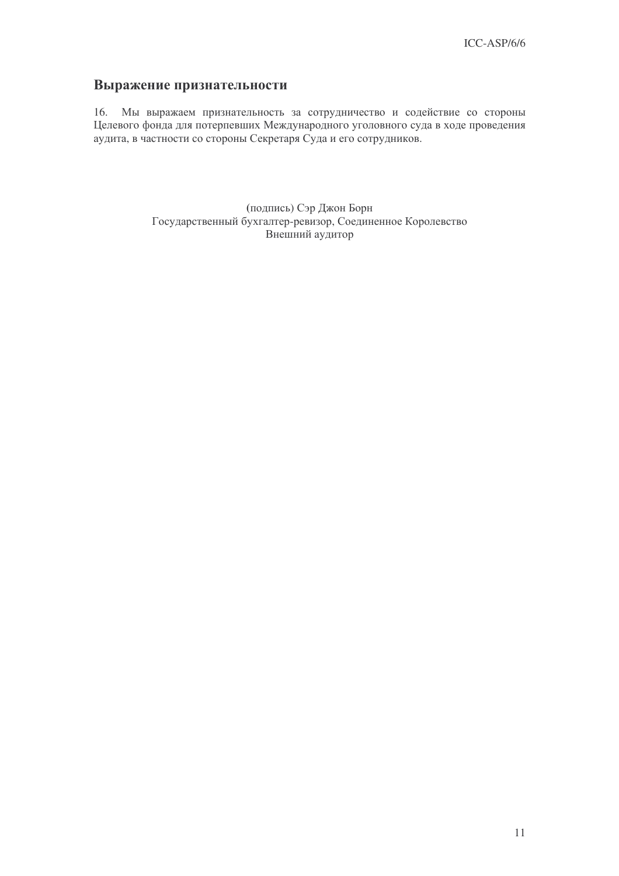# Выражение признательности

16. Мы выражаем признательность за сотрудничество и содействие со стороны Целевого фонда для потерпевших Международного уголовного суда в ходе проведения аудита, в частности со стороны Секретаря Суда и его сотрудников.

> (подпись) Сэр Джон Борн Государственный бухгалтер-ревизор, Соединенное Королевство Внешний аудитор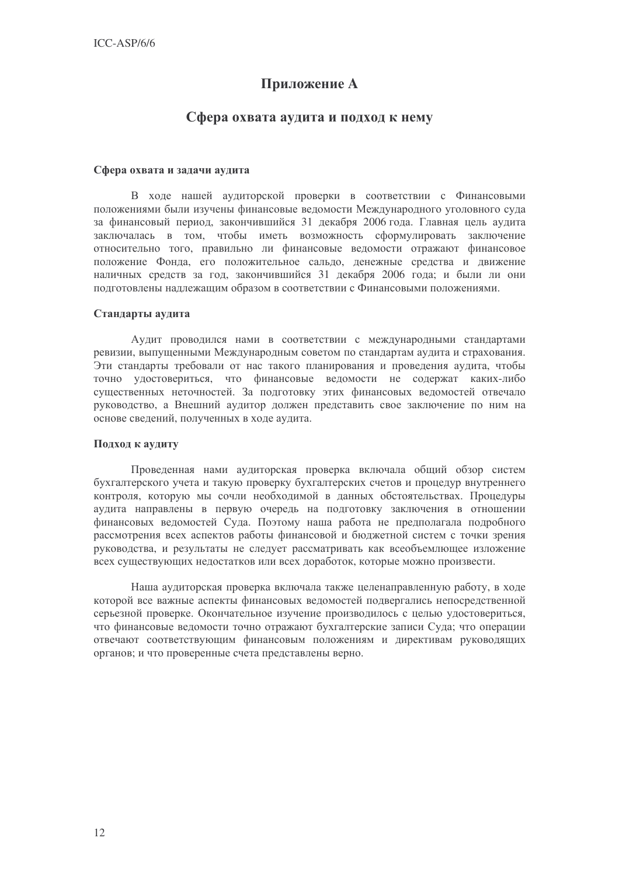# Приложение А

#### Сфера охвата аудита и подход к нему

#### Сфера охвата и задачи аудита

В ходе нашей аудиторской проверки в соответствии с Финансовыми положениями были изучены финансовые ведомости Международного уголовного суда за финансовый период, закончившийся 31 декабря 2006 года. Главная цель аудита заключалась в том, чтобы иметь возможность сформулировать заключение относительно того, правильно ли финансовые ведомости отражают финансовое положение Фонда, его положительное сальдо, денежные средства и движение наличных средств за год, закончившийся 31 декабря 2006 года; и были ли они подготовлены надлежащим образом в соответствии с Финансовыми положениями.

#### Стандарты аудита

Аудит проводился нами в соответствии с международными стандартами ревизии, выпущенными Международным советом по стандартам аудита и страхования. Эти стандарты требовали от нас такого планирования и проведения аудита, чтобы точно удостовериться, что финансовые ведомости не содержат каких-либо существенных неточностей. За подготовку этих финансовых ведомостей отвечало руководство, а Внешний аудитор должен представить свое заключение по ним на основе сведений, полученных в ходе аудита.

#### Подход к аудиту

Проведенная нами аудиторская проверка включала общий обзор систем бухгалтерского учета и такую проверку бухгалтерских счетов и процедур внутреннего контроля, которую мы сочли необходимой в данных обстоятельствах. Процедуры аудита направлены в первую очередь на подготовку заключения в отношении финансовых ведомостей Суда. Поэтому наша работа не предполагала подробного рассмотрения всех аспектов работы финансовой и бюджетной систем с точки зрения руководства, и результаты не следует рассматривать как всеобъемлющее изложение всех существующих недостатков или всех доработок, которые можно произвести.

Наша аудиторская проверка включала также целенаправленную работу, в ходе которой все важные аспекты финансовых веломостей полвергались непосредственной серьезной проверке. Окончательное изучение производилось с целью удостовериться, что финансовые ведомости точно отражают бухгалтерские записи Суда; что операции отвечают соответствующим финансовым положениям и директивам руководящих органов; и что проверенные счета представлены верно.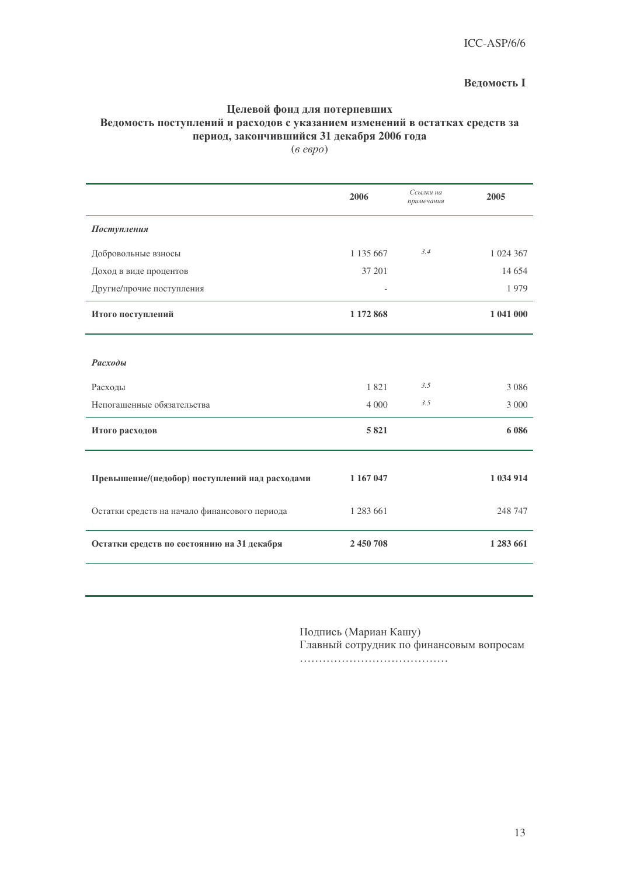### Ведомость I

#### Целевой фонд для потерпевших Ведомость поступлений и расходов с указанием изменений в остатках средств за период, закончившийся 31 декабря 2006 года

 $($ e $e$ e $po)$ 

|                                                | 2006      | Ссылки на<br>примечания | 2005      |
|------------------------------------------------|-----------|-------------------------|-----------|
| Поступления                                    |           |                         |           |
| Добровольные взносы                            | 1 135 667 | 3.4                     | 1 024 367 |
| Доход в виде процентов                         | 37 201    |                         | 14 654    |
| Другие/прочие поступления                      |           |                         | 1979      |
| Итого поступлений                              | 1 172 868 |                         | 1 041 000 |
| Расходы                                        |           |                         |           |
| Расходы                                        | 1821      | 3.5                     | 3 0 8 6   |
| Непогашенные обязательства                     | 4 000     | 3.5                     | 3 000     |
| Итого расходов                                 | 5821      |                         | 6 086     |
| Превышение/(недобор) поступлений над расходами | 1 167 047 |                         | 1 034 914 |
| Остатки средств на начало финансового периода  | 1 283 661 |                         | 248 747   |
| Остатки средств по состоянию на 31 декабря     | 2 450 708 |                         | 1 283 661 |

Подпись (Мариан Кашу) Главный сотрудник по финансовым вопросам …………………………………………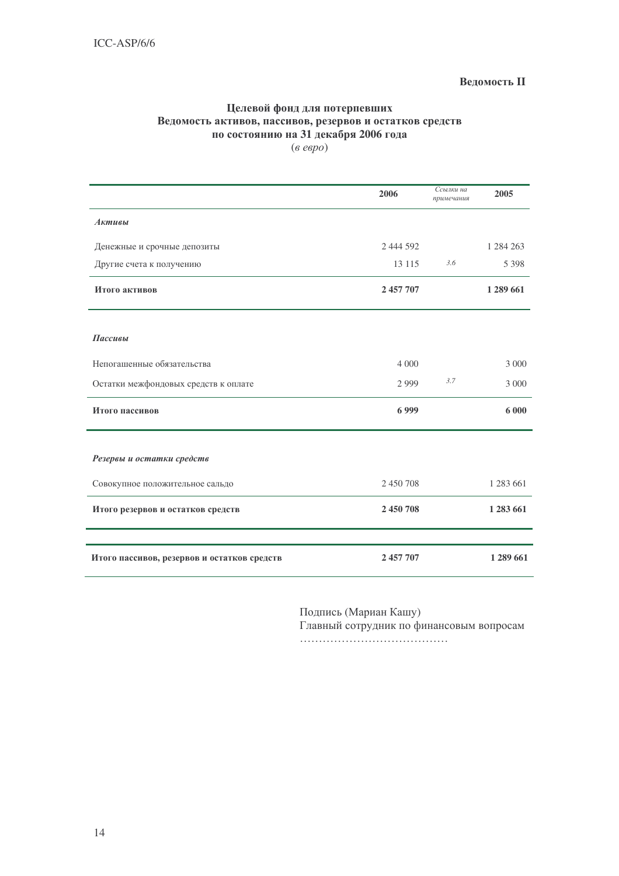### Ведомость II

#### Целевой фонд для потерпевших Ведомость активов, пассивов, резервов и остатков средств по состоянию на 31 декабря 2006 года  $($ <sup>e $\epsilon$ po $)$ </sup>

|                                             | 2006      | Ссылки на<br>примечания | 2005      |
|---------------------------------------------|-----------|-------------------------|-----------|
| Активы                                      |           |                         |           |
| Денежные и срочные депозиты                 | 2 444 592 |                         | 1 284 263 |
| Другие счета к получению                    | 13 115    | 3.6                     | 5 3 9 8   |
| Итого активов                               | 2 457 707 |                         | 1 289 661 |
| Пассивы                                     |           |                         |           |
| Непогашенные обязательства                  | 4 0 0 0   |                         | 3 000     |
| Остатки межфондовых средств к оплате        | 2 9 9 9   | 3.7                     | 3 0 0 0   |
| Итого пассивов                              | 6999      |                         | 6 000     |
| Резервы и остатки средств                   |           |                         |           |
| Совокупное положительное сальдо             | 2 450 708 |                         | 1 283 661 |
| Итого резервов и остатков средств           | 2 450 708 |                         | 1 283 661 |
| Итого пассивов, резервов и остатков средств | 2 457 707 |                         | 1 289 661 |

Подпись (Мариан Кашу) Главный сотрудник по финансовым вопросам …………………………………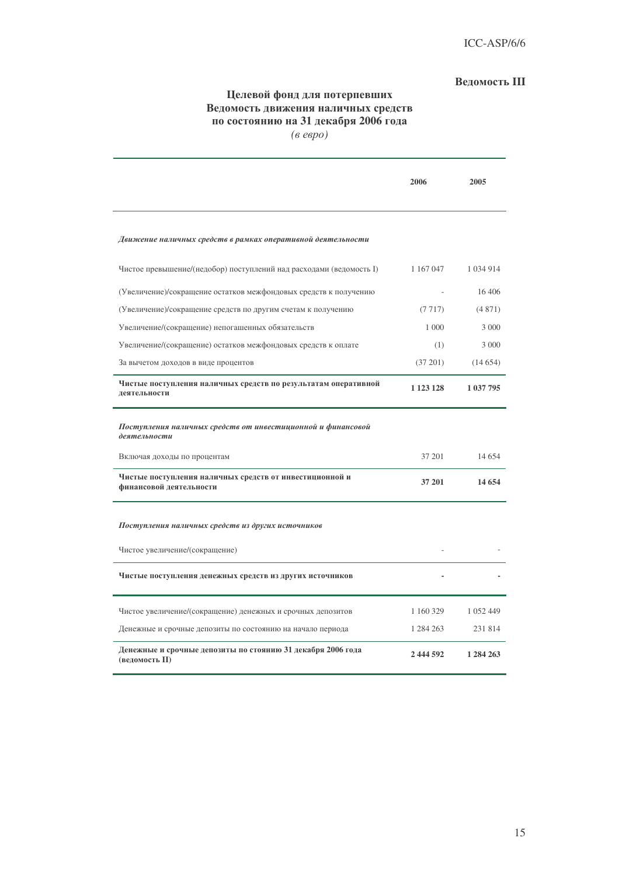#### Ведомость III

#### Целевой фонд для потерпевших Ведомость движения наличных средств по состоянию на 31 декабря 2006 года (в евро)

|                                                                                                                   | 2006             | 2005                    |
|-------------------------------------------------------------------------------------------------------------------|------------------|-------------------------|
| Движение наличных средств в рамках оперативной деятельности                                                       |                  |                         |
| Чистое превышение/(недобор) поступлений над расходами (ведомость I)                                               | 1 1 6 7 0 4 7    | 1 0 3 4 9 1 4           |
| (Увеличение)/сокращение остатков межфондовых средств к получению                                                  |                  | 16 40 6                 |
| (Увеличение)/сокращение средств по другим счетам к получению                                                      | (7717)           | (4871)                  |
| Увеличение/(сокращение) непогашенных обязательств                                                                 | 1 000            | 3 000                   |
| Увеличение/(сокращение) остатков межфондовых средств к оплате                                                     | (1)              | 3 0 0 0                 |
| За вычетом доходов в виде процентов                                                                               | (37201)          | (14654)                 |
| Чистые поступления наличных средств по результатам оперативной<br>деятельности                                    | 1 1 2 3 1 2 8    | 1 037 795               |
|                                                                                                                   |                  |                         |
| Поступления наличных средств от инвестиционной и финансовой<br>деятельности                                       |                  |                         |
| Включая доходы по процентам<br>Чистые поступления наличных средств от инвестиционной и<br>финансовой деятельности | 37 201<br>37 201 |                         |
|                                                                                                                   |                  | 14 6 54<br>14 654       |
| Поступления наличных средств из других источников<br>Чистое увеличение/(сокращение)                               |                  |                         |
| Чистые поступления денежных средств из других источников                                                          |                  |                         |
| Чистое увеличение/(сокращение) денежных и срочных депозитов                                                       | 1 160 329        |                         |
| Денежные и срочные депозиты по состоянию на начало периода                                                        | 1 284 263        | 1 0 5 2 4 4 9<br>231814 |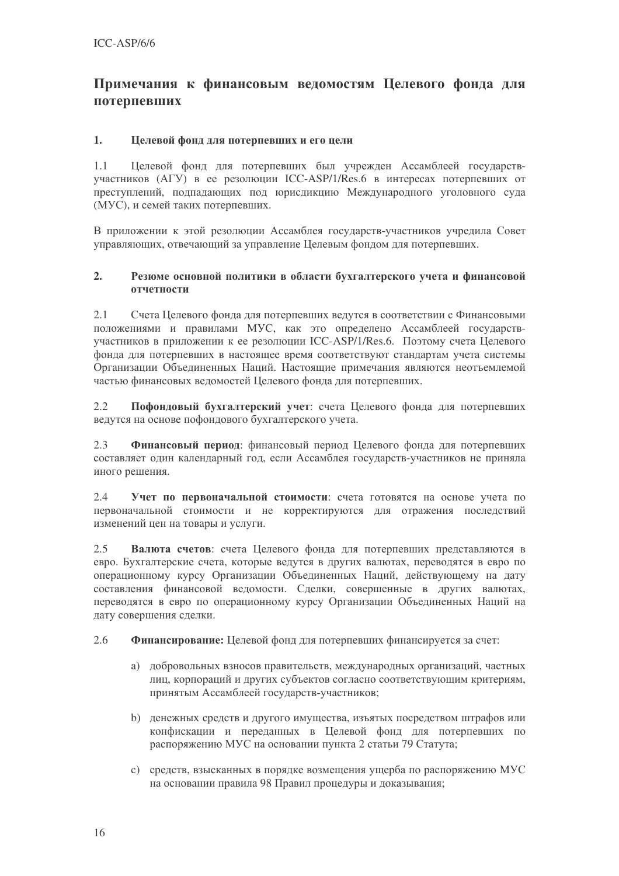# Примечания к финансовым ведомостям Целевого фонда для потерпевших

#### $1.$ Целевой фонд для потерпевших и его цели

 $1.1$ Целевой фонд для потерпевших был учрежден Ассамблеей государствучастников (AГУ) в ее резолюции ICC-ASP/1/Res.6 в интересах потерпевших от преступлений, подпадающих под юрисдикцию Международного уголовного суда (МУС), и семей таких потерпевших.

В приложении к этой резолюции Ассамблея государств-участников учредила Совет управляющих, отвечающий за управление Целевым фондом для потерпевших.

#### $2.$ Резюме основной политики в области бухгалтерского учета и финансовой отчетности

 $2.1$ Счета Пелевого фонла для потерпевших велутся в соответствии с Финансовыми положениями и правилами МУС, как это определено Ассамблеей государствучастников в приложении к ее резолюции ICC-ASP/1/Res.6. Поэтому счета Целевого фонда для потерпевших в настоящее время соответствуют стандартам учета системы Организации Объединенных Наций. Настоящие примечания являются неотъемлемой частью финансовых ведомостей Целевого фонда для потерпевших.

 $2.2$ Пофондовый бухгалтерский учет: счета Целевого фонда для потерпевших ведутся на основе пофондового бухгалтерского учета.

 $2.3$ Финансовый период: финансовый период Целевого фонда для потерпевших составляет один календарный год, если Ассамблея государств-участников не приняла иного решения.

 $2.4$ Учет по первоначальной стоимости: счета готовятся на основе учета по первоначальной стоимости и не корректируются для отражения последствий изменений цен на товары и услуги.

Валюта счетов: счета Целевого фонда для потерпевших представляются в 2.5 евро. Бухгалтерские счета, которые ведутся в других валютах, переводятся в евро по операционному курсу Организации Объединенных Наций, действующему на дату составления финансовой ведомости. Сделки, совершенные в других валютах, переводятся в евро по операционному курсу Организации Объединенных Наций на дату совершения сделки.

2.6 Финансирование: Целевой фонд для потерпевших финансируется за счет:

- а) добровольных взносов правительств, международных организаций, частных лиц, корпораций и других субъектов согласно соответствующим критериям, принятым Ассамблеей государств-участников:
- b) денежных средств и другого имущества, изъятых посредством штрафов или конфискации и переданных в Целевой фонд для потерпевших по распоряжению МУС на основании пункта 2 статьи 79 Статута;
- с) средств, взысканных в порядке возмещения ущерба по распоряжению МУС на основании правила 98 Правил процедуры и доказывания;